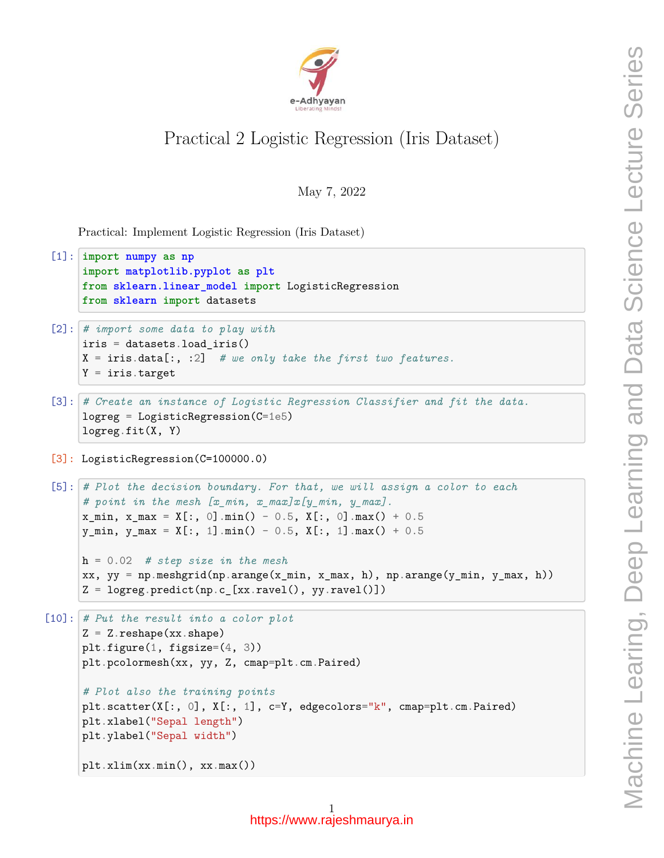

## Practical 2 Logistic Regression (Iris Dataset)

May 7, 2022

Practical: Implement Logistic Regression (Iris Dataset)

```
[1]: import numpy as np
      import matplotlib.pyplot as plt
      from sklearn.linear_model import LogisticRegression
      from sklearn import datasets
 [2]: # import some data to play with
      iris = datasets.load_iris()
      X = iris.data[:, :2] # we only take the first two features.
      Y = \text{iris.target}[3]: # Create an instance of Logistic Regression Classifier and fit the data.
      logreg = LogisticRegression(C=1e5)
      logreg.fit(X, Y)
 [3]: LogisticRegression(C=100000.0)
 [5]: # Plot the decision boundary. For that, we will assign a color to each
      # point in the mesh [x_min, x_max]x[y_min, y_max].
      x_{min}, x_{max} = X[:, 0] . min() - 0.5, X[:, 0] . max() + 0.5y_{min}, y_{max} = X[:, 1] . min() - 0.5, X[:, 1] . max() + 0.5h = 0.02 # step size in the mesh
      xx, yy = np.meshgrid(np.arange(x_min, x_max, h), np.arange(y_min, y_max, h))
      Z = \text{logreg.predict(np.c_{xx}.ravel(), yy.ravel()})[10]: # Put the result into a color plot
      Z = Z.\nreshape(xx.\nshape)plt.figure(1, figsize=(4, 3))
      plt.pcolormesh(xx, yy, Z, cmap=plt.cm.Paired)
      # Plot also the training points
      plt.scatter(X[:, 0], X[:, 1], c=Y, edgecolors="k", cmap=plt.cm.Paired)
```
plt.xlim(xx.min(), xx.max())

plt.xlabel("Sepal length") plt.ylabel("Sepal width")